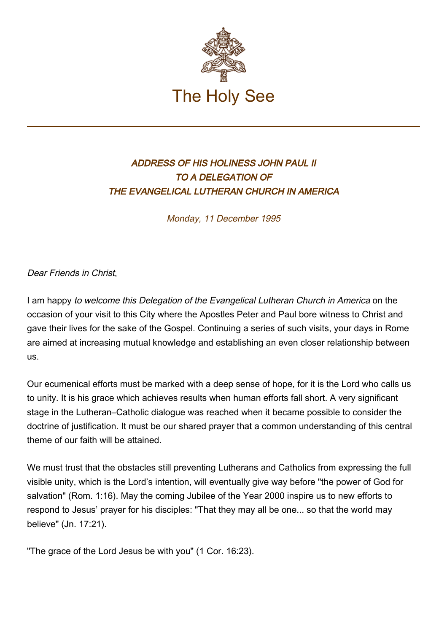

## ADDRESS OF HIS HOLINESS JOHN PAUL II TO A DELEGATION OF THE EVANGELICAL LUTHERAN CHURCH IN AMERICA

Monday, 11 December 1995

Dear Friends in Christ,

I am happy to welcome this Delegation of the Evangelical Lutheran Church in America on the occasion of your visit to this City where the Apostles Peter and Paul bore witness to Christ and gave their lives for the sake of the Gospel. Continuing a series of such visits, your days in Rome are aimed at increasing mutual knowledge and establishing an even closer relationship between us.

Our ecumenical efforts must be marked with a deep sense of hope, for it is the Lord who calls us to unity. It is his grace which achieves results when human efforts fall short. A very significant stage in the Lutheran–Catholic dialogue was reached when it became possible to consider the doctrine of justification. It must be our shared prayer that a common understanding of this central theme of our faith will be attained.

We must trust that the obstacles still preventing Lutherans and Catholics from expressing the full visible unity, which is the Lord's intention, will eventually give way before "the power of God for salvation" (Rom. 1:16). May the coming Jubilee of the Year 2000 inspire us to new efforts to respond to Jesus' prayer for his disciples: "That they may all be one... so that the world may believe" (Jn. 17:21).

"The grace of the Lord Jesus be with you" (1 Cor. 16:23).